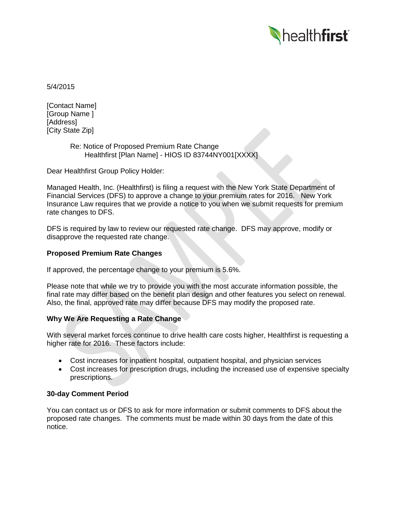

5/4/2015

[Contact Name] [Group Name ] [Address] [City State Zip]

## Re: Notice of Proposed Premium Rate Change Healthfirst [Plan Name] - HIOS ID 83744NY001[XXXX]

Dear Healthfirst Group Policy Holder:

Managed Health, Inc. (Healthfirst) is filing a request with the New York State Department of Financial Services (DFS) to approve a change to your premium rates for 2016. New York Insurance Law requires that we provide a notice to you when we submit requests for premium rate changes to DFS.

DFS is required by law to review our requested rate change. DFS may approve, modify or disapprove the requested rate change.

# **Proposed Premium Rate Changes**

If approved, the percentage change to your premium is 5.6%.

Please note that while we try to provide you with the most accurate information possible, the final rate may differ based on the benefit plan design and other features you select on renewal. Also, the final, approved rate may differ because DFS may modify the proposed rate.

# **Why We Are Requesting a Rate Change**

With several market forces continue to drive health care costs higher, Healthfirst is requesting a higher rate for 2016. These factors include:

- Cost increases for inpatient hospital, outpatient hospital, and physician services
- Cost increases for prescription drugs, including the increased use of expensive specialty prescriptions.

### **30-day Comment Period**

You can contact us or DFS to ask for more information or submit comments to DFS about the proposed rate changes. The comments must be made within 30 days from the date of this notice.